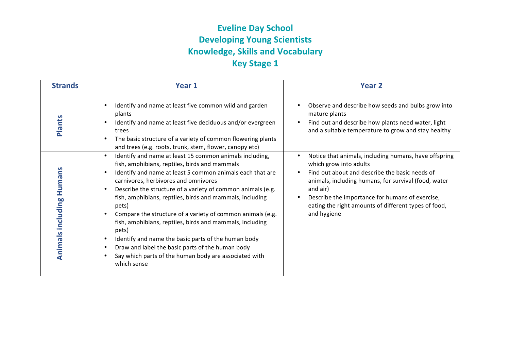## **Eveline Day School Developing Young Scientists Knowledge, Skills and Vocabulary Key Stage 1**

| <b>Strands</b>                  | Year 1                                                                                                                                                                                                                                                                                                                                                                                                                                                                                                                                                                                                                                                                        | Year 2                                                                                                                                                                                                                                                                 |
|---------------------------------|-------------------------------------------------------------------------------------------------------------------------------------------------------------------------------------------------------------------------------------------------------------------------------------------------------------------------------------------------------------------------------------------------------------------------------------------------------------------------------------------------------------------------------------------------------------------------------------------------------------------------------------------------------------------------------|------------------------------------------------------------------------------------------------------------------------------------------------------------------------------------------------------------------------------------------------------------------------|
| <b>Plants</b>                   | Identify and name at least five common wild and garden<br>$\bullet$<br>plants<br>Identify and name at least five deciduous and/or evergreen<br>$\bullet$<br>trees<br>The basic structure of a variety of common flowering plants<br>$\bullet$<br>and trees (e.g. roots, trunk, stem, flower, canopy etc)<br>Identify and name at least 15 common animals including,<br>$\bullet$                                                                                                                                                                                                                                                                                              | Observe and describe how seeds and bulbs grow into<br>mature plants<br>Find out and describe how plants need water, light<br>and a suitable temperature to grow and stay healthy<br>Notice that animals, including humans, have offspring                              |
| <b>Animals including Humans</b> | fish, amphibians, reptiles, birds and mammals<br>Identify and name at least 5 common animals each that are<br>$\bullet$<br>carnivores, herbivores and omnivores<br>Describe the structure of a variety of common animals (e.g.<br>$\bullet$<br>fish, amphibians, reptiles, birds and mammals, including<br>pets)<br>Compare the structure of a variety of common animals (e.g.<br>$\bullet$<br>fish, amphibians, reptiles, birds and mammals, including<br>pets)<br>Identify and name the basic parts of the human body<br>$\bullet$<br>Draw and label the basic parts of the human body<br>$\bullet$<br>Say which parts of the human body are associated with<br>which sense | which grow into adults<br>Find out about and describe the basic needs of<br>animals, including humans, for survival (food, water<br>and air)<br>Describe the importance for humans of exercise,<br>eating the right amounts of different types of food,<br>and hygiene |